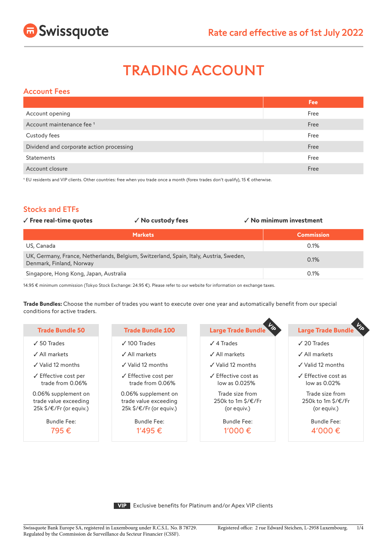

# TRADING ACCOUNT

## Account Fees

|                                          | <b>Fee</b> |
|------------------------------------------|------------|
| Account opening                          | Free       |
| Account maintenance fee <sup>1</sup>     | Free       |
| Custody fees                             | Free       |
| Dividend and corporate action processing | Free       |
| <b>Statements</b>                        | Free       |
| Account closure                          | Free       |

1 EU residents and VIP clients. Other countries: free when you trade once a month (forex trades don't qualify), 15 € otherwise.

# Stocks and ETFs

| $\checkmark$ Free real-time quotes     | √ No custody fees                                                                      | $\checkmark$ No minimum investment |
|----------------------------------------|----------------------------------------------------------------------------------------|------------------------------------|
|                                        | <b>Markets</b>                                                                         | <b>Commission</b>                  |
| US, Canada                             |                                                                                        | 0.1%                               |
| Denmark, Finland, Norway               | UK, Germany, France, Netherlands, Belgium, Switzerland, Spain, Italy, Austria, Sweden, | 0.1%                               |
| Singapore, Hong Kong, Japan, Australia |                                                                                        | 0.1%                               |

14.95 € minimum commission (Tokyo Stock Exchange: 24.95 €). Please refer to our website for information on exchange taxes.

**Trade Bundles:** Choose the number of trades you want to execute over one year and automatically benefit from our special conditions for active traders.

| <b>Trade Bundle 50</b>                                                  | <b>Trade Bundle 100</b>                                                 | 一么<br><b>Large Trade Bundle</b>                      | <b>Large Trade Bundle</b>                                                    |
|-------------------------------------------------------------------------|-------------------------------------------------------------------------|------------------------------------------------------|------------------------------------------------------------------------------|
| $\sqrt{50}$ Trades                                                      | $\sqrt{100}$ Trades                                                     | $\sqrt{4}$ Trades                                    | $\sqrt{20}$ Trades                                                           |
| √ All markets                                                           | ✓ All markets                                                           | ✓ All markets                                        | $\angle$ All markets                                                         |
| $\checkmark$ Valid 12 months                                            | $\sqrt{}$ Valid 12 months                                               | $\checkmark$ Valid 12 months                         | $\sqrt{}$ Valid 12 months                                                    |
| $\checkmark$ Effective cost per<br>trade from 0.06%                     | $\checkmark$ Effective cost per<br>trade from 0.06%                     | $\sqrt{\ }$ Effective cost as<br>low as 0.025%       | $\sqrt{\overline{\phantom{a}}\phantom{a}}$ Effective cost as<br>low as 0.02% |
| 0.06% supplement on<br>trade value exceeding<br>25k \$/€/Fr (or equiv.) | 0.06% supplement on<br>trade value exceeding<br>25k \$/€/Fr (or equiv.) | Trade size from<br>250k to 1m \$/€/Fr<br>(or equiv.) | Trade size from<br>250k to 1m \$/€/Fr<br>(or equiv.)                         |

Bundle Fee: 795 €

Bundle Fee: 1'495 €

Bundle Fee: 1'000 €

Bundle Fee: 4'000 €

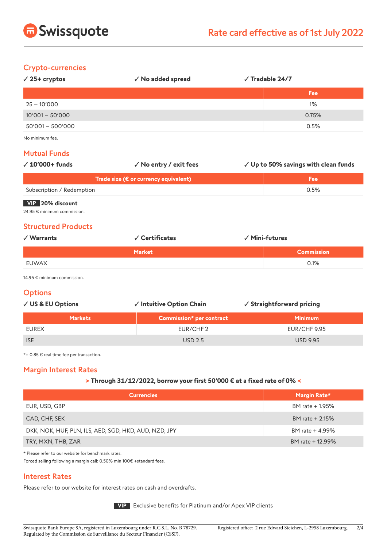

#### Crypto-currencies

| $\sqrt{25+}$ cryptos | $\sqrt{\phantom{a}}$ No added spread | $\sqrt{\phantom{a}}$ Tradable 24/7 |  |
|----------------------|--------------------------------------|------------------------------------|--|
|                      |                                      | <b>Fee</b>                         |  |
| $25 - 10'000$        |                                      | 1%                                 |  |
| $10'001 - 50'000$    |                                      | 0.75%                              |  |
| $50'001 - 500'000$   |                                      | 0.5%                               |  |
|                      |                                      |                                    |  |

No minimum fee.

#### Mutual Funds

| $\sqrt{10'000+}$ funds    | √ No entry / exit fees                          | √ Up to 50% savings with clean funds |
|---------------------------|-------------------------------------------------|--------------------------------------|
|                           | Trade size ( $\epsilon$ or currency equivalent) | <b>Fee</b>                           |
| Subscription / Redemption |                                                 | 0.5%                                 |
| VIP 20% discount          |                                                 |                                      |

24.95 € minimum commission.

#### Structured Products

| √ Warrants | √ Certificates | √ Mini-futures    |
|------------|----------------|-------------------|
|            | <b>Market</b>  | <b>Commission</b> |
| EUWAX      |                | 0.1%              |

14.95 € minimum commission.

## **Options**

| ✓ US & EU Options | √ Intuitive Option Chain | ✓ Straightforward pricing |
|-------------------|--------------------------|---------------------------|
| <b>Markets</b>    | Commission* per contract | <b>Minimum</b>            |
| <b>EUREX</b>      | EUR/CHF2                 | EUR/CHF 9.95              |
| <b>ISE</b>        | <b>USD 2.5</b>           | <b>USD 9.95</b>           |

\*+ 0.85 € real time fee per transaction.

# Margin Interest Rates

#### **> Through 31/12/2022, borrow your first 50'000 € at a fixed rate of 0% <**

| <b>Currencies</b>                                     | Margin Rate*     |
|-------------------------------------------------------|------------------|
| EUR, USD, GBP                                         | BM rate + 1.95%  |
| CAD, CHF, SEK                                         | BM rate + 2.15%  |
| DKK, NOK, HUF, PLN, ILS, AED, SGD, HKD, AUD, NZD, JPY | BM rate + 4.99%  |
| TRY, MXN, THB, ZAR                                    | BM rate + 12.99% |

\* Please refer to our website for benchmark rates.

Forced selling following a margin call: 0.50% min 100€ +standard fees.

## Interest Rates

Please refer to our website for interest rates on cash and overdrafts.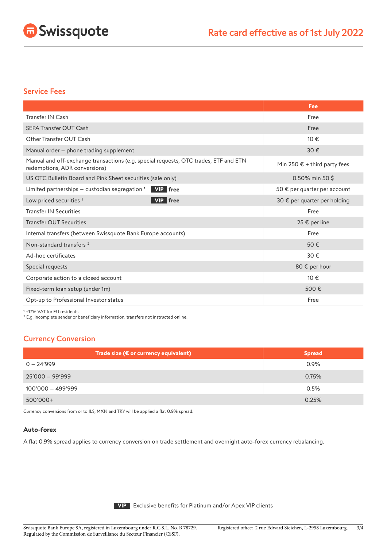

#### Service Fees

|                                                                                                                       | Fee                                   |
|-----------------------------------------------------------------------------------------------------------------------|---------------------------------------|
| Transfer IN Cash                                                                                                      | Free                                  |
| <b>SEPA Transfer OUT Cash</b>                                                                                         | Free                                  |
| Other Transfer OUT Cash                                                                                               | 10€                                   |
| Manual order - phone trading supplement                                                                               | 30€                                   |
| Manual and off-exchange transactions (e.g. special requests, OTC trades, ETF and ETN<br>redemptions, ADR conversions) | Min 250 $\epsilon$ + third party fees |
| US OTC Bulletin Board and Pink Sheet securities (sale only)                                                           | $0.50\%$ min 50 \$                    |
| Limited partnerships - custodian segregation <sup>1</sup><br><b>VIP</b> free                                          | 50 € per quarter per account          |
| <b>VIP</b> free<br>Low priced securities <sup>1</sup>                                                                 | 30 € per quarter per holding          |
| <b>Transfer IN Securities</b>                                                                                         | Free                                  |
| <b>Transfer OUT Securities</b>                                                                                        | 25 € per line                         |
| Internal transfers (between Swissquote Bank Europe accounts)                                                          | Free                                  |
| Non-standard transfers <sup>2</sup>                                                                                   | 50€                                   |
| Ad-hoc certificates                                                                                                   | 30€                                   |
| Special requests                                                                                                      | 80 € per hour                         |
| Corporate action to a closed account                                                                                  | 10€                                   |
| Fixed-term loan setup (under 1m)                                                                                      | 500€                                  |
| Opt-up to Professional Investor status                                                                                | Free                                  |

<sup>1</sup> +17% VAT for EU residents.

² E.g. incomplete sender or beneficiary information, transfers not instructed online.

# Currency Conversion

| Trade size (€ or currency equivalent) | <b>Spread</b> |
|---------------------------------------|---------------|
| $0 - 24'999$                          | 0.9%          |
| $25'000 - 99'999$                     | 0.75%         |
| $100'000 - 499'999$                   | 0.5%          |
| $500'000+$                            | 0.25%         |

Currency conversions from or to ILS, MXN and TRY will be applied a flat 0.9% spread.

#### **Auto-forex**

A flat 0.9% spread applies to currency conversion on trade settlement and overnight auto-forex currency rebalancing.